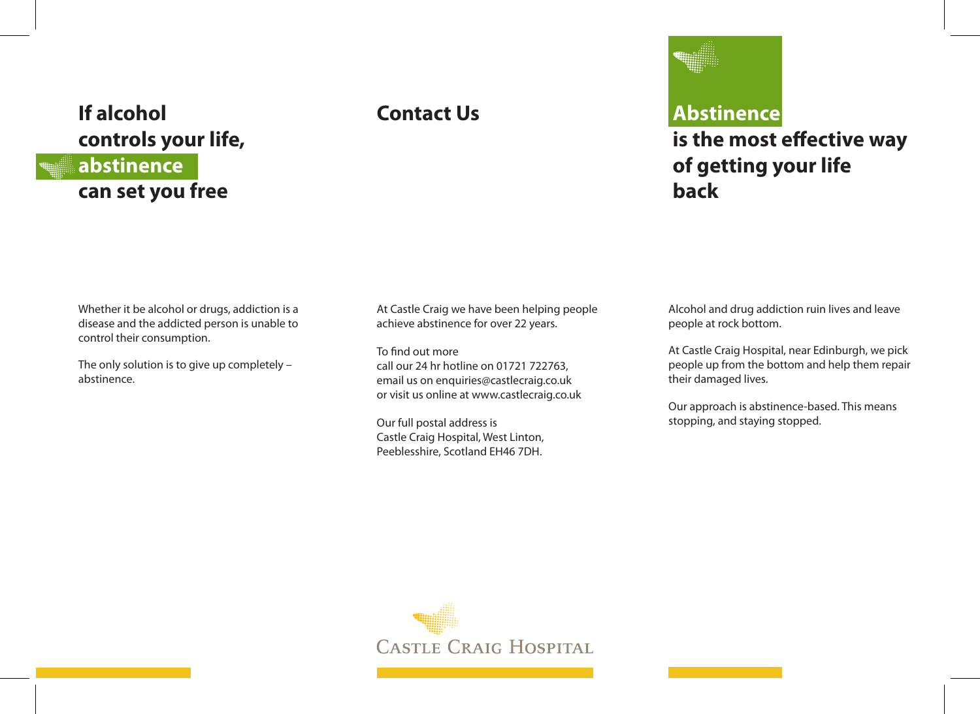## **If alcohol controls your life, abstinence can set you free**



is the most effective way **of getting your life back**

Whether it be alcohol or drugs, addiction is a disease and the addicted person is unable to control their consumption.

The only solution is to give up completely – abstinence.

At Castle Craig we have been helping people achieve abstinence for over 22 years.

To find out more call our 24 hr hotline on 01721 722763, email us on enquiries@castlecraig.co.uk or visit us online at www.castlecraig.co.uk

Our full postal address is Castle Craig Hospital, West Linton, Peeblesshire, Scotland EH46 7DH.

Alcohol and drug addiction ruin lives and leave people at rock bottom.

At Castle Craig Hospital, near Edinburgh, we pick people up from the bottom and help them repair their damaged lives.

Our approach is abstinence-based. This means stopping, and staying stopped.